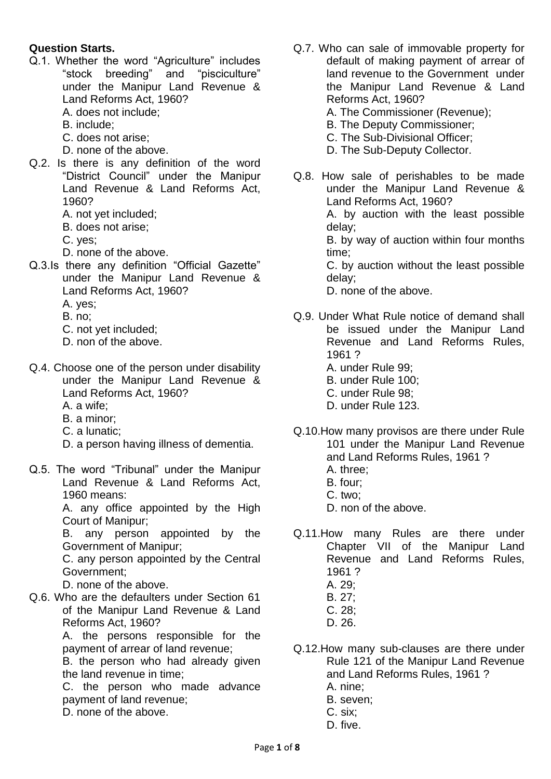## **Question Starts.**

- Q.1. Whether the word "Agriculture" includes "stock breeding" and "pisciculture" under the Manipur Land Revenue & Land Reforms Act, 1960?
	- A. does not include;
	- B. include;
	- C. does not arise;
	- D. none of the above.
- Q.2. Is there is any definition of the word "District Council" under the Manipur Land Revenue & Land Reforms Act, 1960?
	- A. not yet included;
	- B. does not arise;
	- C. yes;
	- D. none of the above.
- Q.3.Is there any definition "Official Gazette" under the Manipur Land Revenue & Land Reforms Act, 1960? A. yes;
	- B. no;
	- C. not yet included;
	- D. non of the above.
- Q.4. Choose one of the person under disability under the Manipur Land Revenue & Land Reforms Act, 1960?
	- A. a wife;
	- B. a minor;
	- C. a lunatic;
	- D. a person having illness of dementia.
- Q.5. The word "Tribunal" under the Manipur Land Revenue & Land Reforms Act, 1960 means:

A. any office appointed by the High Court of Manipur;

B. any person appointed by the Government of Manipur;

C. any person appointed by the Central Government;

D. none of the above.

Q.6. Who are the defaulters under Section 61 of the Manipur Land Revenue & Land Reforms Act, 1960?

A. the persons responsible for the payment of arrear of land revenue;

B. the person who had already given the land revenue in time;

C. the person who made advance payment of land revenue;

D. none of the above.

- Q.7. Who can sale of immovable property for default of making payment of arrear of land revenue to the Government under the Manipur Land Revenue & Land Reforms Act, 1960?
	- A. The Commissioner (Revenue);
	- B. The Deputy Commissioner;
	- C. The Sub-Divisional Officer;
	- D. The Sub-Deputy Collector.
- Q.8. How sale of perishables to be made under the Manipur Land Revenue & Land Reforms Act, 1960? A. by auction with the least possible delay; B. by way of auction within four months

time; C. by auction without the least possible delay;

D. none of the above.

- Q.9. Under What Rule notice of demand shall be issued under the Manipur Land Revenue and Land Reforms Rules, 1961 ?
	- A. under Rule 99;
	- B. under Rule 100;
	- C. under Rule 98;
	- D. under Rule 123.
- Q.10.How many provisos are there under Rule 101 under the Manipur Land Revenue and Land Reforms Rules, 1961 ?
	- A. three;
	- B. four;
	- C. two;
	- D. non of the above.
- Q.11.How many Rules are there under Chapter VII of the Manipur Land Revenue and Land Reforms Rules, 1961 ?
	- A. 29;
	- B. 27;
	- C. 28;
	- D. 26.
- Q.12.How many sub-clauses are there under Rule 121 of the Manipur Land Revenue and Land Reforms Rules, 1961 ?
	- A. nine;
	- B. seven;
	- C. six;
	- D. five.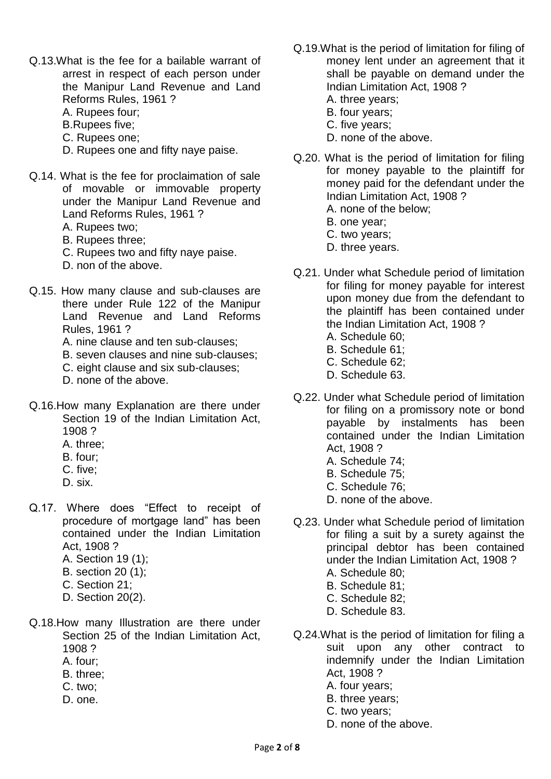- Q.13.What is the fee for a bailable warrant of arrest in respect of each person under the Manipur Land Revenue and Land Reforms Rules, 1961 ?
	- A. Rupees four;
	- B.Rupees five;
	- C. Rupees one;
	- D. Rupees one and fifty naye paise.
- Q.14. What is the fee for proclaimation of sale of movable or immovable property under the Manipur Land Revenue and Land Reforms Rules, 1961 ?
	- A. Rupees two;
	- B. Rupees three;
	- C. Rupees two and fifty naye paise.
	- D. non of the above.
- Q.15. How many clause and sub-clauses are there under Rule 122 of the Manipur Land Revenue and Land Reforms Rules, 1961 ?
	- A. nine clause and ten sub-clauses;
	- B. seven clauses and nine sub-clauses;
	- C. eight clause and six sub-clauses;
	- D. none of the above.
- Q.16.How many Explanation are there under Section 19 of the Indian Limitation Act, 1908 ?
	- A. three;
	- B. four;
	- C. five;
	- D. six.
- Q.17. Where does "Effect to receipt of procedure of mortgage land" has been contained under the Indian Limitation Act, 1908 ?
	- A. Section 19 (1);
	- B. section 20 (1);
	- C. Section 21;
	- D. Section 20(2).
- Q.18.How many Illustration are there under Section 25 of the Indian Limitation Act, 1908 ?
	- A. four;
	- B. three;
	- C. two;
	- D. one.
- Q.19.What is the period of limitation for filing of money lent under an agreement that it shall be payable on demand under the Indian Limitation Act, 1908 ?
	- A. three years;
	- B. four years;
	- C. five years;
	- D. none of the above.
- Q.20. What is the period of limitation for filing for money payable to the plaintiff for money paid for the defendant under the Indian Limitation Act, 1908 ?
	- A. none of the below;
	- B. one year;
	- C. two years;
	- D. three years.
- Q.21. Under what Schedule period of limitation for filing for money payable for interest upon money due from the defendant to the plaintiff has been contained under the Indian Limitation Act, 1908 ?
	- A. Schedule 60;
	- B. Schedule 61;
	- C. Schedule 62;
	- D. Schedule 63.
- Q.22. Under what Schedule period of limitation for filing on a promissory note or bond payable by instalments has been contained under the Indian Limitation Act, 1908 ?
	- A. Schedule 74;
	- B. Schedule 75;
	- C. Schedule 76;
	- D. none of the above.
- Q.23. Under what Schedule period of limitation for filing a suit by a surety against the principal debtor has been contained under the Indian Limitation Act, 1908 ?
	- A. Schedule 80;
	- B. Schedule 81;
	- C. Schedule 82;
	- D. Schedule 83.
- Q.24.What is the period of limitation for filing a suit upon any other contract to indemnify under the Indian Limitation Act, 1908 ?
	- A. four years;
	- B. three years;
	- C. two years;
	- D. none of the above.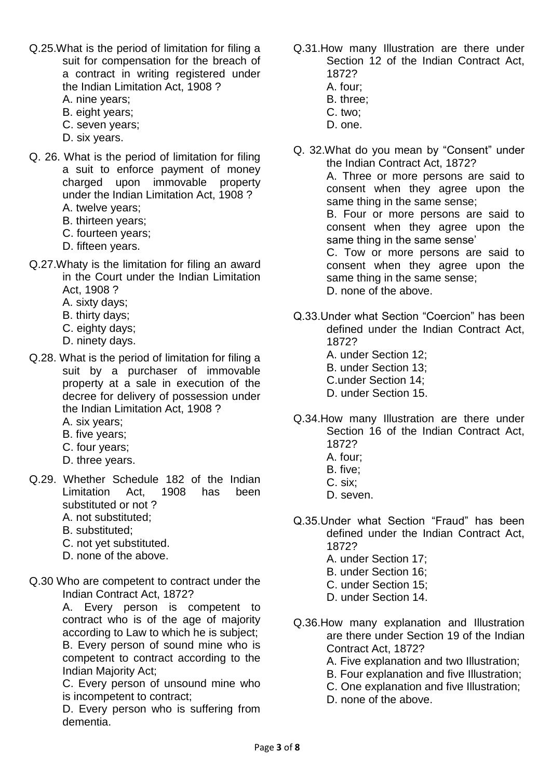- Q.25.What is the period of limitation for filing a suit for compensation for the breach of a contract in writing registered under the Indian Limitation Act, 1908 ?
	- A. nine years;
	- B. eight years;
	- C. seven years;
	- D. six years.
- Q. 26. What is the period of limitation for filing a suit to enforce payment of money charged upon immovable property under the Indian Limitation Act, 1908 ? A. twelve years;
	- B. thirteen years;
	- C. fourteen years;
	- D. fifteen years.
- Q.27.Whaty is the limitation for filing an award in the Court under the Indian Limitation Act, 1908 ?
	- A. sixty days;
	- B. thirty days;
	- C. eighty days;
	- D. ninety days.
- Q.28. What is the period of limitation for filing a suit by a purchaser of immovable property at a sale in execution of the decree for delivery of possession under the Indian Limitation Act, 1908 ?
	- A. six years;
	- B. five years;
	- C. four years;
	- D. three years.
- Q.29. Whether Schedule 182 of the Indian Limitation Act, 1908 has been substituted or not ?
	- A. not substituted;
	- B. substituted;
	- C. not yet substituted.
	- D. none of the above.
- Q.30 Who are competent to contract under the Indian Contract Act, 1872?

A. Every person is competent to contract who is of the age of majority according to Law to which he is subject; B. Every person of sound mine who is competent to contract according to the Indian Majority Act;

C. Every person of unsound mine who is incompetent to contract;

D. Every person who is suffering from dementia.

- Q.31.How many Illustration are there under Section 12 of the Indian Contract Act, 1872?
	- A. four;
	- B. three;
	- C. two;
	- D. one.
- Q. 32.What do you mean by "Consent" under the Indian Contract Act, 1872?

A. Three or more persons are said to consent when they agree upon the same thing in the same sense;

B. Four or more persons are said to consent when they agree upon the same thing in the same sense'

C. Tow or more persons are said to consent when they agree upon the same thing in the same sense; D. none of the above.

- Q.33.Under what Section "Coercion" has been defined under the Indian Contract Act, 1872?
	- A. under Section 12;
	- B. under Section 13;
	- C.under Section 14;
	- D. under Section 15.
- Q.34.How many Illustration are there under Section 16 of the Indian Contract Act, 1872?
	- A. four;
	- B. five;
	- C. six;
	- D. seven.
- Q.35.Under what Section "Fraud" has been defined under the Indian Contract Act, 1872?
	- A. under Section 17;
	- B. under Section 16;
	- C. under Section 15;
	- D. under Section 14.
- Q.36.How many explanation and Illustration are there under Section 19 of the Indian Contract Act, 1872?
	- A. Five explanation and two Illustration;
	- B. Four explanation and five Illustration;
	- C. One explanation and five Illustration;
	- D. none of the above.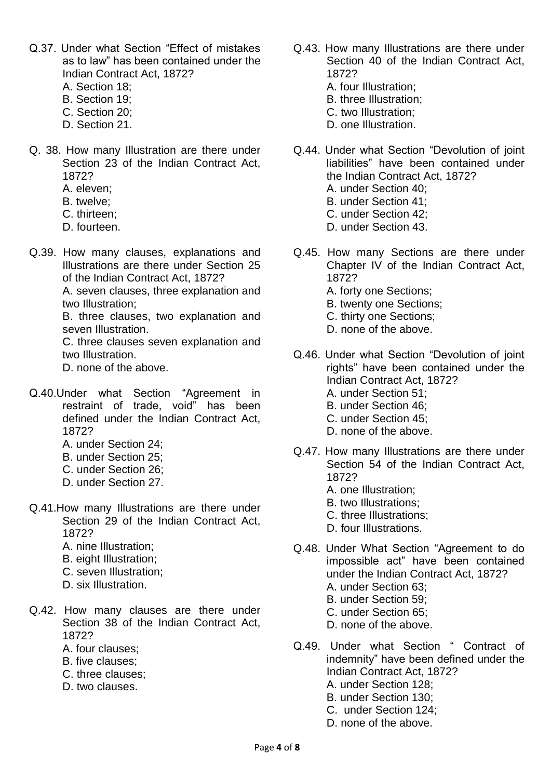- Q.37. Under what Section "Effect of mistakes as to law" has been contained under the Indian Contract Act, 1872?
	- A. Section 18;
	- B. Section 19;
	- C. Section 20;
	- D. Section 21.
- Q. 38. How many Illustration are there under Section 23 of the Indian Contract Act, 1872?
	- A. eleven;
	- B. twelve;
	- C. thirteen;
	- D. fourteen.
- Q.39. How many clauses, explanations and Illustrations are there under Section 25 of the Indian Contract Act, 1872?

A. seven clauses, three explanation and two Illustration;

B. three clauses, two explanation and seven Illustration.

C. three clauses seven explanation and two Illustration.

D. none of the above.

- Q.40.Under what Section "Agreement in restraint of trade, void" has been defined under the Indian Contract Act, 1872?
	- A. under Section 24;
	- B. under Section 25;
	- C. under Section 26;
	- D. under Section 27.
- Q.41.How many Illustrations are there under Section 29 of the Indian Contract Act, 1872?
	- A. nine Illustration;
	- B. eight Illustration;
	- C. seven Illustration;
	- D. six Illustration.
- Q.42. How many clauses are there under Section 38 of the Indian Contract Act, 1872?
	- A. four clauses;
	- B. five clauses;
	- C. three clauses;
	- D. two clauses.
- Q.43. How many Illustrations are there under Section 40 of the Indian Contract Act, 1872?
	- A. four Illustration;
	- B. three Illustration;
	- C. two Illustration;
	- D. one Illustration.
- Q.44. Under what Section "Devolution of joint liabilities" have been contained under the Indian Contract Act, 1872? A. under Section 40;
	- B. under Section 41;
	- C. under Section 42;
	- D. under Section 43.
- Q.45. How many Sections are there under Chapter IV of the Indian Contract Act, 1872?
	- A. forty one Sections;
	- B. twenty one Sections;
	- C. thirty one Sections;
	- D. none of the above.
- Q.46. Under what Section "Devolution of joint rights" have been contained under the Indian Contract Act, 1872? A. under Section 51; B. under Section 46;
	- C. under Section 45;
	- D. none of the above.
- Q.47. How many Illustrations are there under Section 54 of the Indian Contract Act,
	- 1872?
	- A. one Illustration;
	- B. two Illustrations;
	- C. three Illustrations;
	- D. four Illustrations.
- Q.48. Under What Section "Agreement to do impossible act" have been contained under the Indian Contract Act, 1872?
	- A. under Section 63;
	- B. under Section 59;
	- C. under Section 65;
	- D. none of the above.
- Q.49. Under what Section " Contract of indemnity" have been defined under the Indian Contract Act, 1872?
	- A. under Section 128;
	- B. under Section 130;
	- C. under Section 124;
	- D. none of the above.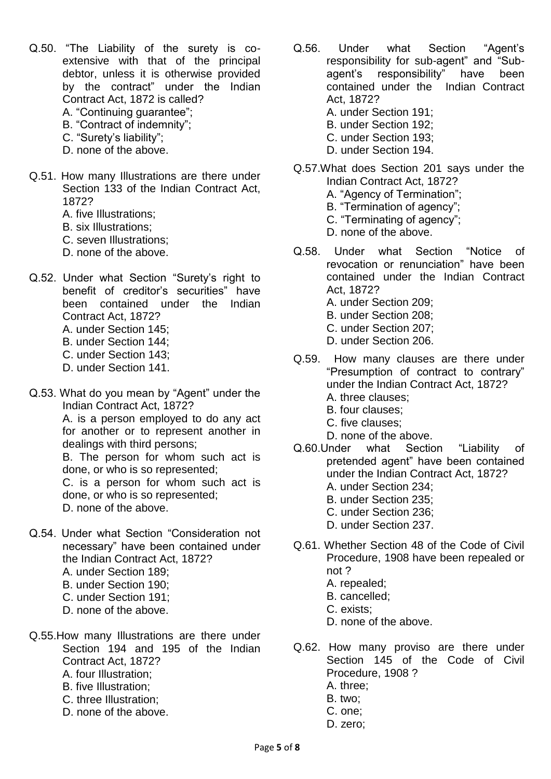- Q.50. "The Liability of the surety is coextensive with that of the principal debtor, unless it is otherwise provided by the contract" under the Indian Contract Act, 1872 is called? A. "Continuing guarantee";
	- B. "Contract of indemnity";
	- C. "Surety's liability";
	- D. none of the above.
- Q.51. How many Illustrations are there under Section 133 of the Indian Contract Act, 1872?
	- A. five Illustrations;
	- B. six Illustrations;
	- C. seven Illustrations;
	- D. none of the above.
- Q.52. Under what Section "Surety's right to benefit of creditor's securities" have been contained under the Indian Contract Act, 1872?
	- A. under Section 145;
	- B. under Section 144;
	- C. under Section 143;
	- D. under Section 141.
- Q.53. What do you mean by "Agent" under the Indian Contract Act, 1872?

A. is a person employed to do any act for another or to represent another in dealings with third persons;

B. The person for whom such act is done, or who is so represented;

C. is a person for whom such act is done, or who is so represented; D. none of the above.

- Q.54. Under what Section "Consideration not necessary" have been contained under the Indian Contract Act, 1872?
	- A. under Section 189;
	- B. under Section 190;
	- C. under Section 191;
	- D. none of the above.
- Q.55.How many Illustrations are there under Section 194 and 195 of the Indian Contract Act, 1872?
	- A. four Illustration;
	- B. five Illustration;
	- C. three Illustration;
	- D. none of the above.
- Q.56. Under what Section "Agent's responsibility for sub-agent" and "Subagent's responsibility" have been contained under the Indian Contract Act, 1872?
	- A. under Section 191;
	- B. under Section 192;
	- C. under Section 193;
	- D. under Section 194.
- Q.57.What does Section 201 says under the Indian Contract Act, 1872?
	- A. "Agency of Termination";
	- B. "Termination of agency";
	- C. "Terminating of agency";
	- D. none of the above.
- Q.58. Under what Section "Notice of revocation or renunciation" have been contained under the Indian Contract Act, 1872?
	- A. under Section 209;
	- B. under Section 208;
	- C. under Section 207;
	- D. under Section 206.
- Q.59. How many clauses are there under "Presumption of contract to contrary" under the Indian Contract Act, 1872?
	- A. three clauses; B. four clauses;
	- C. five clauses;
	- D. none of the above.
- Q.60.Under what Section "Liability of pretended agent" have been contained under the Indian Contract Act, 1872?
	- A. under Section 234;
	- B. under Section 235;
	- C. under Section 236;
	- D. under Section 237.
- Q.61. Whether Section 48 of the Code of Civil Procedure, 1908 have been repealed or not ?
	- A. repealed;
	- B. cancelled;
	- C. exists;
	- D. none of the above.
- Q.62. How many proviso are there under Section 145 of the Code of Civil Procedure, 1908 ?
	- A. three;
	- B. two;
	- C. one;
	- D. zero;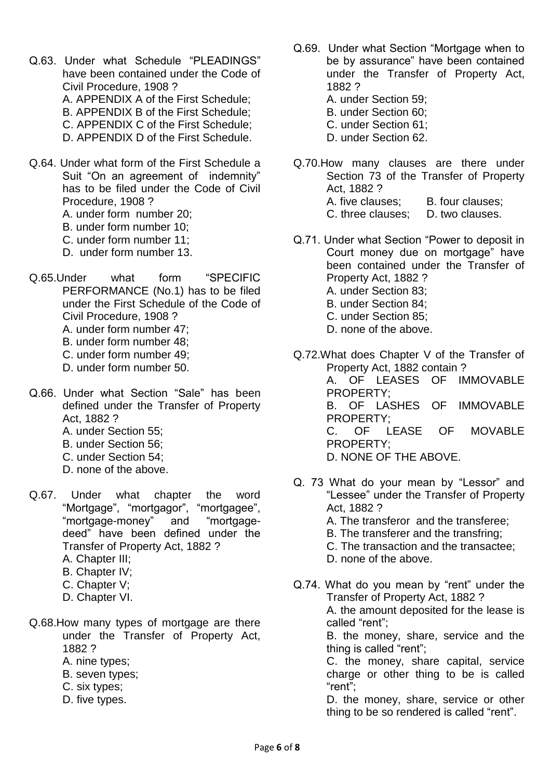- Q.63. Under what Schedule "PLEADINGS" have been contained under the Code of Civil Procedure, 1908 ? A. APPENDIX A of the First Schedule; B. APPENDIX B of the First Schedule; C. APPENDIX C of the First Schedule;
	- D. APPENDIX D of the First Schedule.
- Q.64. Under what form of the First Schedule a Suit "On an agreement of indemnity" has to be filed under the Code of Civil Procedure, 1908 ?
	- A. under form number 20;
	- B. under form number 10;
	- C. under form number 11;
	- D. under form number 13.
- Q.65.Under what form "SPECIFIC PERFORMANCE (No.1) has to be filed under the First Schedule of the Code of Civil Procedure, 1908 ?
	- A. under form number 47;
	- B. under form number 48;
	- C. under form number 49;
	- D. under form number 50.
- Q.66. Under what Section "Sale" has been defined under the Transfer of Property Act, 1882 ?
	- A. under Section 55;
	- B. under Section 56;
	- C. under Section 54;
	- D. none of the above.
- Q.67. Under what chapter the word "Mortgage", "mortgagor", "mortgagee", "mortgage-money" and "mortgagedeed" have been defined under the Transfer of Property Act, 1882 ?
	- A. Chapter III;
	- B. Chapter IV;
	- C. Chapter V;
	- D. Chapter VI.
- Q.68.How many types of mortgage are there under the Transfer of Property Act, 1882 ?
	- A. nine types;
	- B. seven types;
	- C. six types;
	- D. five types.
- Q.69. Under what Section "Mortgage when to be by assurance" have been contained under the Transfer of Property Act, 1882 ?
	- A. under Section 59;
	- B. under Section 60;
	- C. under Section 61;
	- D. under Section 62.
- Q.70.How many clauses are there under Section 73 of the Transfer of Property Act, 1882 ? A. five clauses: B. four clauses: C. three clauses; D. two clauses.
- Q.71. Under what Section "Power to deposit in Court money due on mortgage" have been contained under the Transfer of Property Act, 1882 ? A. under Section 83; B. under Section 84; C. under Section 85;
	- D. none of the above.
- Q.72.What does Chapter V of the Transfer of Property Act, 1882 contain ? A. OF LEASES OF IMMOVABLE PROPERTY; B. OF LASHES OF IMMOVABLE PROPERTY; C. OF LEASE OF MOVABLE PROPERTY; D. NONE OF THE ABOVE.
- Q. 73 What do your mean by "Lessor" and "Lessee" under the Transfer of Property Act, 1882 ?
	- A. The transferor and the transferee;
	- B. The transferer and the transfring;
	- C. The transaction and the transactee;
	- D. none of the above.
- Q.74. What do you mean by "rent" under the Transfer of Property Act, 1882 ? A. the amount deposited for the lease is called "rent"; B. the money, share, service and the thing is called "rent";

C. the money, share capital, service charge or other thing to be is called "rent";

D. the money, share, service or other thing to be so rendered is called "rent".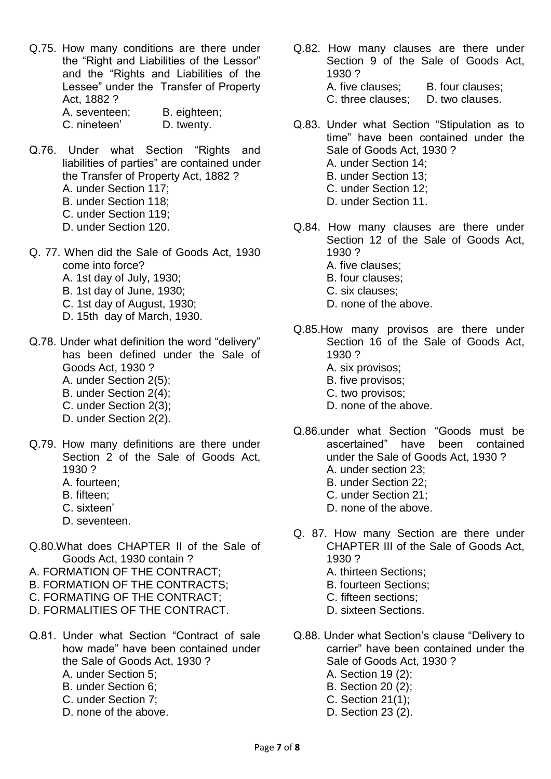- Q.75. How many conditions are there under the "Right and Liabilities of the Lessor" and the "Rights and Liabilities of the Lessee" under the Transfer of Property Act, 1882 ? A. seventeen; B. eighteen; C. nineteen' D. twenty.
- Q.76. Under what Section "Rights and liabilities of parties" are contained under the Transfer of Property Act, 1882 ? A. under Section 117; B. under Section 118; C. under Section 119; D. under Section 120.
- Q. 77. When did the Sale of Goods Act, 1930 come into force? A. 1st day of July, 1930;
	- B. 1st day of June, 1930;
	- C. 1st day of August, 1930;
	- D. 15th day of March, 1930.
- Q.78. Under what definition the word "delivery" has been defined under the Sale of Goods Act, 1930 ? A. under Section 2(5); B. under Section 2(4);
	- C. under Section 2(3);
	- D. under Section 2(2).
- Q.79. How many definitions are there under Section 2 of the Sale of Goods Act, 1930 ?
	- A. fourteen;
	- B. fifteen;
	- C. sixteen'
	- D. seventeen.
- Q.80.What does CHAPTER II of the Sale of Goods Act, 1930 contain ?
- A. FORMATION OF THE CONTRACT;
- B. FORMATION OF THE CONTRACTS;
- C. FORMATING OF THE CONTRACT;
- D. FORMALITIES OF THE CONTRACT.
- Q.81. Under what Section "Contract of sale how made" have been contained under the Sale of Goods Act, 1930 ? A. under Section 5;
	- B. under Section 6;
	- C. under Section 7;
	- D. none of the above.
- Q.82. How many clauses are there under Section 9 of the Sale of Goods Act, 1930 ? A. five clauses: B. four clauses: C. three clauses; D. two clauses.
- Q.83. Under what Section "Stipulation as to time" have been contained under the Sale of Goods Act, 1930 ? A. under Section 14; B. under Section 13; C. under Section 12; D. under Section 11.
- Q.84. How many clauses are there under Section 12 of the Sale of Goods Act, 1930 ?
	- A. five clauses;
	- B. four clauses;
	- C. six clauses;
	- D. none of the above.
- Q.85.How many provisos are there under Section 16 of the Sale of Goods Act, 1930 ?
	- A. six provisos;
	- B. five provisos;
	- C. two provisos;
	- D. none of the above.
- Q.86.under what Section "Goods must be ascertained" have been contained under the Sale of Goods Act, 1930 ?
	- A. under section 23;
	- B. under Section 22; C. under Section 21;
	-
	- D. none of the above.
- Q. 87. How many Section are there under CHAPTER III of the Sale of Goods Act, 1930 ?
	- A. thirteen Sections;
	- B. fourteen Sections;
	- C. fifteen sections;
	- D. sixteen Sections.
- Q.88. Under what Section's clause "Delivery to carrier" have been contained under the Sale of Goods Act, 1930 ?
	- A. Section 19 (2);
	- B. Section 20 (2);
	- C. Section 21(1);
	- D. Section 23 (2).